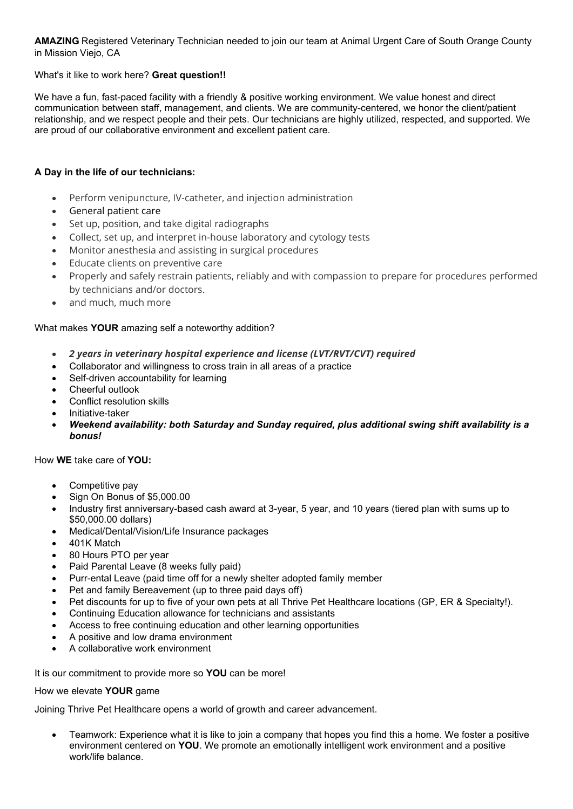**AMAZING** Registered Veterinary Technician needed to join our team at Animal Urgent Care of South Orange County in Mission Viejo, CA

What's it like to work here? **Great question!!**

We have a fun, fast-paced facility with a friendly & positive working environment. We value honest and direct communication between staff, management, and clients. We are community-centered, we honor the client/patient relationship, and we respect people and their pets. Our technicians are highly utilized, respected, and supported. We are proud of our collaborative environment and excellent patient care.

## **A Day in the life of our technicians:**

- Perform venipuncture, IV-catheter, and injection administration
- General patient care
- Set up, position, and take digital radiographs
- Collect, set up, and interpret in-house laboratory and cytology tests
- Monitor anesthesia and assisting in surgical procedures
- Educate clients on preventive care
- Properly and safely restrain patients, reliably and with compassion to prepare for procedures performed by technicians and/or doctors.
- and much, much more

## What makes **YOUR** amazing self a noteworthy addition?

- *2 years in veterinary hospital experience and license (LVT/RVT/CVT) required*
- Collaborator and willingness to cross train in all areas of a practice
- Self-driven accountability for learning
- Cheerful outlook
- Conflict resolution skills
- Initiative-taker
- *Weekend availability: both Saturday and Sunday required, plus additional swing shift availability is a bonus!*

How **WE** take care of **YOU:**

- Competitive pay
- Sign On Bonus of \$5,000.00
- Industry first anniversary-based cash award at 3-year, 5 year, and 10 years (tiered plan with sums up to \$50,000.00 dollars)
- Medical/Dental/Vision/Life Insurance packages
- 401K Match
- 80 Hours PTO per year
- Paid Parental Leave (8 weeks fully paid)
- Purr-ental Leave (paid time off for a newly shelter adopted family member
- Pet and family Bereavement (up to three paid days off)
- Pet discounts for up to five of your own pets at all Thrive Pet Healthcare locations (GP, ER & Specialty!).
- Continuing Education allowance for technicians and assistants
- Access to free continuing education and other learning opportunities
- A positive and low drama environment
- A collaborative work environment

It is our commitment to provide more so **YOU** can be more!

How we elevate **YOUR** game

Joining Thrive Pet Healthcare opens a world of growth and career advancement.

• Teamwork: Experience what it is like to join a company that hopes you find this a home. We foster a positive environment centered on **YOU**. We promote an emotionally intelligent work environment and a positive work/life balance.